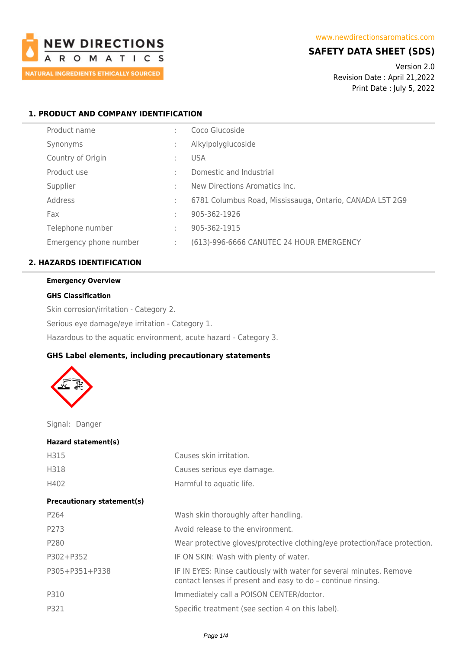

## **SAFETY DATA SHEET (SDS)**

Version 2.0 Revision Date : April 21,2022 Print Date : July 5, 2022

## **1. PRODUCT AND COMPANY IDENTIFICATION**

| Product name           | ٠  | Coco Glucoside                                           |
|------------------------|----|----------------------------------------------------------|
| Synonyms               | ٠  | Alkylpolyglucoside                                       |
| Country of Origin      | ٠  | <b>USA</b>                                               |
| Product use            | ٠  | Domestic and Industrial                                  |
| Supplier               | ٠  | New Directions Aromatics Inc.                            |
| Address                | ٠  | 6781 Columbus Road, Mississauga, Ontario, CANADA L5T 2G9 |
| Fax                    | ٠  | 905-362-1926                                             |
| Telephone number       | ٠. | 905-362-1915                                             |
| Emergency phone number | ٠  | (613)-996-6666 CANUTEC 24 HOUR EMERGENCY                 |

## **2. HAZARDS IDENTIFICATION**

#### **Emergency Overview**

#### **GHS Classification**

Skin corrosion/irritation - Category 2. Serious eye damage/eye irritation - Category 1. Hazardous to the aquatic environment, acute hazard - Category 3.

## **GHS Label elements, including precautionary statements**



Signal: Danger

| Hazard statement(s)               |                                                                                                                                     |
|-----------------------------------|-------------------------------------------------------------------------------------------------------------------------------------|
| H315                              | Causes skin irritation.                                                                                                             |
| H318                              | Causes serious eye damage.                                                                                                          |
| H402                              | Harmful to aquatic life.                                                                                                            |
| <b>Precautionary statement(s)</b> |                                                                                                                                     |
| P <sub>264</sub>                  | Wash skin thoroughly after handling.                                                                                                |
| P273                              | Avoid release to the environment.                                                                                                   |
| P280                              | Wear protective gloves/protective clothing/eye protection/face protection.                                                          |
| P302+P352                         | IF ON SKIN: Wash with plenty of water.                                                                                              |
| P305+P351+P338                    | IF IN EYES: Rinse cautiously with water for several minutes. Remove<br>contact lenses if present and easy to do - continue rinsing. |
| P310                              | Immediately call a POISON CENTER/doctor.                                                                                            |
| P321                              | Specific treatment (see section 4 on this label).                                                                                   |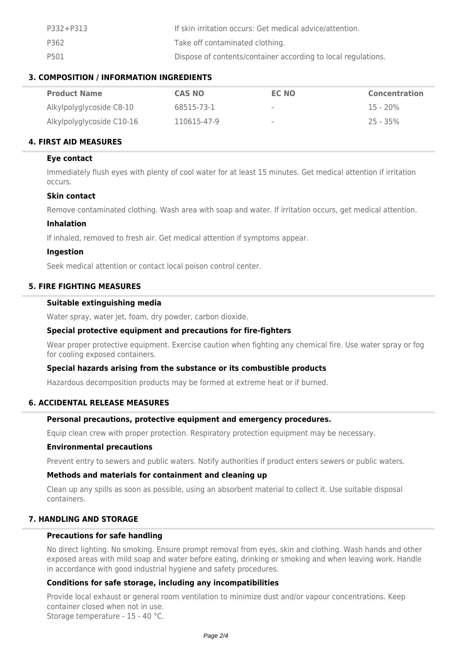| P332+P313 | If skin irritation occurs: Get medical advice/attention.      |
|-----------|---------------------------------------------------------------|
| P362      | Take off contaminated clothing.                               |
| P501      | Dispose of contents/container according to local regulations. |

## **3. COMPOSITION / INFORMATION INGREDIENTS**

| <b>Product Name</b>       | CAS NO      | EC NO | <b>Concentration</b> |
|---------------------------|-------------|-------|----------------------|
| Alkylpolyglycoside C8-10  | 68515-73-1  | ۰     | $15 - 20\%$          |
| Alkylpolyglycoside C10-16 | 110615-47-9 | $\,$  | $25 - 35\%$          |

## **4. FIRST AID MEASURES**

## **Eye contact**

Immediately flush eyes with plenty of cool water for at least 15 minutes. Get medical attention if irritation occurs.

#### **Skin contact**

Remove contaminated clothing. Wash area with soap and water. If irritation occurs, get medical attention.

#### **Inhalation**

If inhaled, removed to fresh air. Get medical attention if symptoms appear.

#### **Ingestion**

Seek medical attention or contact local poison control center.

## **5. FIRE FIGHTING MEASURES**

#### **Suitable extinguishing media**

Water spray, water jet, foam, dry powder, carbon dioxide.

#### **Special protective equipment and precautions for fire-fighters**

Wear proper protective equipment. Exercise caution when fighting any chemical fire. Use water spray or fog for cooling exposed containers.

## **Special hazards arising from the substance or its combustible products**

Hazardous decomposition products may be formed at extreme heat or if burned.

#### **6. ACCIDENTAL RELEASE MEASURES**

#### **Personal precautions, protective equipment and emergency procedures.**

Equip clean crew with proper protection. Respiratory protection equipment may be necessary.

#### **Environmental precautions**

Prevent entry to sewers and public waters. Notify authorities if product enters sewers or public waters.

#### **Methods and materials for containment and cleaning up**

Clean up any spills as soon as possible, using an absorbent material to collect it. Use suitable disposal containers.

## **7. HANDLING AND STORAGE**

## **Precautions for safe handling**

No direct lighting. No smoking. Ensure prompt removal from eyes, skin and clothing. Wash hands and other exposed areas with mild soap and water before eating, drinking or smoking and when leaving work. Handle in accordance with good industrial hygiene and safety procedures.

#### **Conditions for safe storage, including any incompatibilities**

Provide local exhaust or general room ventilation to minimize dust and/or vapour concentrations. Keep container closed when not in use. Storage temperature - 15 - 40 °C.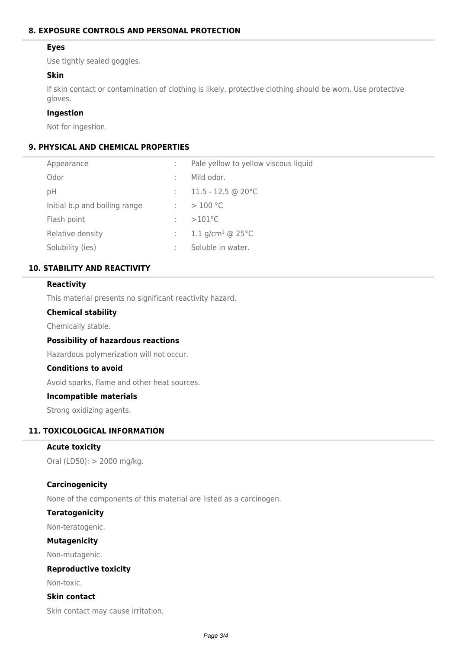## **8. EXPOSURE CONTROLS AND PERSONAL PROTECTION**

## **Eyes**

Use tightly sealed goggles.

## **Skin**

If skin contact or contamination of clothing is likely, protective clothing should be worn. Use protective gloves.

#### **Ingestion**

Not for ingestion.

## **9. PHYSICAL AND CHEMICAL PROPERTIES**

| Appearance                    | Pale yellow to yellow viscous liquid    |
|-------------------------------|-----------------------------------------|
| Odor                          | Mild odor.                              |
| рH                            | $11.5 - 12.5$ @ 20 °C                   |
| Initial b.p and boiling range | >100 °C                                 |
| Flash point                   | $>101^{\circ}$ C                        |
| Relative density              | 1.1 g/cm <sup>3</sup> @ 25 $^{\circ}$ C |
| Solubility (ies)              | Soluble in water.                       |

## **10. STABILITY AND REACTIVITY**

## **Reactivity**

This material presents no significant reactivity hazard.

#### **Chemical stability**

Chemically stable.

#### **Possibility of hazardous reactions**

Hazardous polymerization will not occur.

## **Conditions to avoid**

Avoid sparks, flame and other heat sources.

#### **Incompatible materials**

Strong oxidizing agents.

#### **11. TOXICOLOGICAL INFORMATION**

#### **Acute toxicity**

Oral (LD50): > 2000 mg/kg.

#### **Carcinogenicity**

None of the components of this material are listed as a carcinogen.

#### **Teratogenicity**

Non-teratogenic.

### **Mutagenicity**

Non-mutagenic.

#### **Reproductive toxicity**

Non-toxic.

# **Skin contact**

Skin contact may cause irritation.